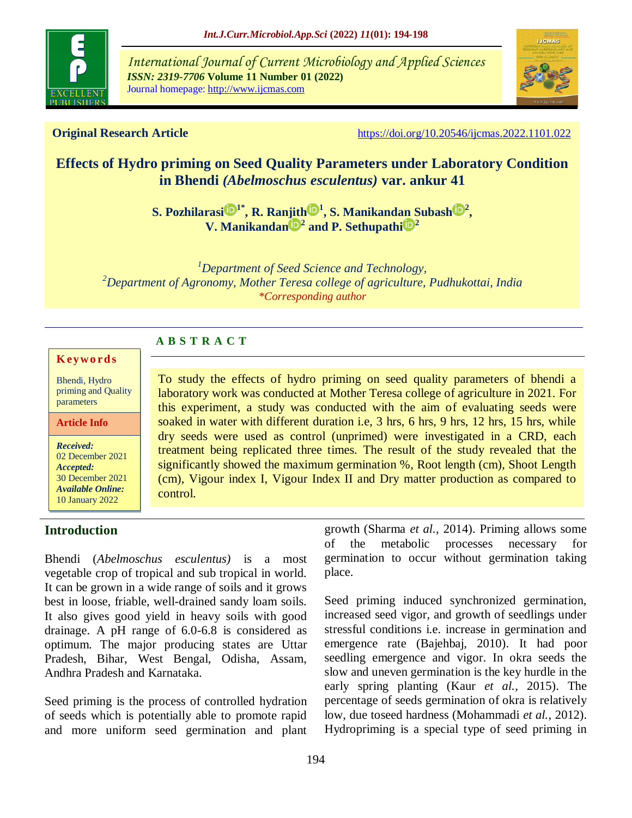

*International Journal of Current Microbiology and Applied Sciences ISSN: 2319-7706* **Volume 11 Number 01 (2022)**  Journal homepage: http://www.ijcmas.com



**Original Research Article** <https://doi.org/10.20546/ijcmas.2022.1101.022>

# **Effects of Hydro priming on Seed Quality Parameters under Laboratory Condition in Bhendi** *(Abelmoschus esculentus)* **var. ankur 41**

 $\mathbf{S}.$  Pozhilarasi $\mathbf{D}^{1*}, \mathbf{R}.$  Ranjith $\mathbf{D}^{1}, \mathbf{S}.$  Manikandan Subash $\mathbf{D}^{2},$ **[V. Manikandan](https://orcid.org/0000-0002-3187-7636) <sup>2</sup> and [P. Sethupathi](https://orcid.org/0000-0002-2599-5353) <sup>2</sup>**

*<sup>1</sup>Department of Seed Science and Technology, <sup>2</sup>Department of Agronomy, Mother Teresa college of agriculture, Pudhukottai, India \*Corresponding author*

# **A B S T R A C T**

#### **K ey w o rd s**

Bhendi, Hydro priming and Quality parameters

#### **Article Info**

*Received:*  02 December 2021 *Accepted:*  30 December 2021 *Available Online:* 10 January 2022

# **Introduction**

To study the effects of hydro priming on seed quality parameters of bhendi a laboratory work was conducted at Mother Teresa college of agriculture in 2021. For this experiment, a study was conducted with the aim of evaluating seeds were soaked in water with different duration i.e, 3 hrs, 6 hrs, 9 hrs, 12 hrs, 15 hrs, while dry seeds were used as control (unprimed) were investigated in a CRD, each treatment being replicated three times. The result of the study revealed that the significantly showed the maximum germination %, Root length (cm), Shoot Length (cm), Vigour index I, Vigour Index II and Dry matter production as compared to control.

Bhendi (*Abelmoschus esculentus)* is a most vegetable crop of tropical and sub tropical in world. It can be grown in a wide range of soils and it grows best in loose, friable, well-drained sandy loam soils. It also gives good yield in heavy soils with good drainage. A pH range of 6.0-6.8 is considered as optimum. The major producing states are [Uttar](https://vikaspedia.in/e-governance/states/uttar-pradesh) [Pradesh,](https://vikaspedia.in/e-governance/states/uttar-pradesh) Bihar, [West Bengal, O](https://vikaspedia.in/e-governance/states/west-bengal)disha, Assam, [Andhra Pradesh a](https://vikaspedia.in/e-governance/states/andhra-pradesh)nd Karnataka.

Seed priming is the process of controlled hydration of seeds which is potentially able to promote rapid and more uniform seed germination and plant growth (Sharma *et al.,* 2014). Priming allows some of the metabolic processes necessary for germination to occur without germination taking place.

Seed priming induced synchronized germination, increased seed vigor, and growth of seedlings under stressful conditions i.e. increase in germination and emergence rate (Bajehbaj, 2010). It had poor seedling emergence and vigor. In okra seeds the slow and uneven germination is the key hurdle in the early spring planting (Kaur *et al.,* 2015). The percentage of seeds germination of okra is relatively low, due toseed hardness (Mohammadi *et al.,* 2012). Hydropriming is a special type of seed priming in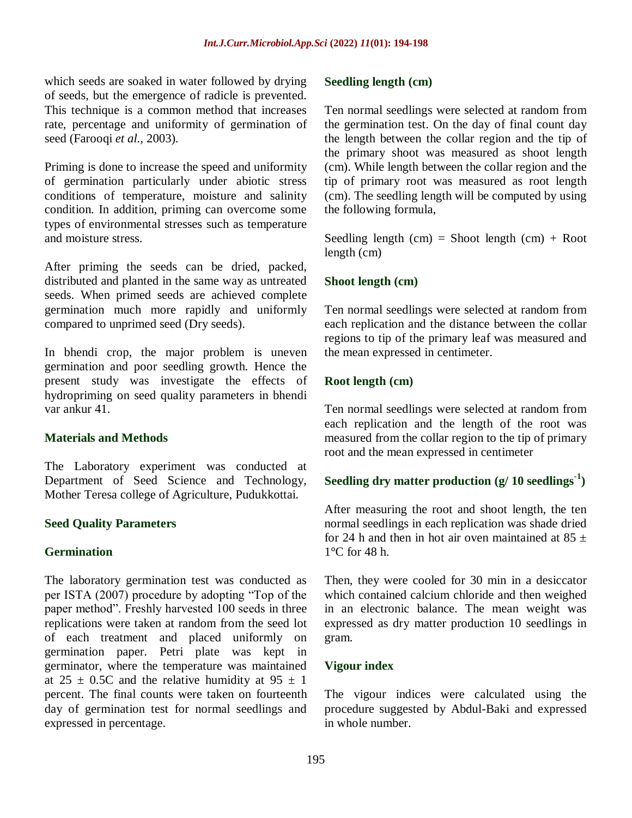which seeds are soaked in water followed by drying of seeds, but the emergence of radicle is prevented. This technique is a common method that increases rate, percentage and uniformity of germination of seed (Farooqi *et al.,* 2003).

Priming is done to increase the speed and uniformity of germination particularly under abiotic stress conditions of temperature, moisture and salinity condition. In addition, priming can overcome some types of environmental stresses such as temperature and moisture stress.

After priming the seeds can be dried, packed, distributed and planted in the same way as untreated seeds. When primed seeds are achieved complete germination much more rapidly and uniformly compared to unprimed seed (Dry seeds).

In bhendi crop, the major problem is uneven germination and poor seedling growth. Hence the present study was investigate the effects of hydropriming on seed quality parameters in bhendi var ankur 41.

## **Materials and Methods**

The Laboratory experiment was conducted at Department of Seed Science and Technology, Mother Teresa college of Agriculture, Pudukkottai.

#### **Seed Quality Parameters**

#### **Germination**

The laboratory germination test was conducted as per ISTA (2007) procedure by adopting "Top of the paper method". Freshly harvested 100 seeds in three replications were taken at random from the seed lot of each treatment and placed uniformly on germination paper. Petri plate was kept in germinator, where the temperature was maintained at  $25 \pm 0.5C$  and the relative humidity at  $95 \pm 1$ percent. The final counts were taken on fourteenth day of germination test for normal seedlings and expressed in percentage.

#### **Seedling length (cm)**

Ten normal seedlings were selected at random from the germination test. On the day of final count day the length between the collar region and the tip of the primary shoot was measured as shoot length (cm). While length between the collar region and the tip of primary root was measured as root length (cm). The seedling length will be computed by using the following formula,

Seedling length  $(cm) =$  Shoot length  $(cm) +$  Root length (cm)

#### **Shoot length (cm)**

Ten normal seedlings were selected at random from each replication and the distance between the collar regions to tip of the primary leaf was measured and the mean expressed in centimeter.

#### **Root length (cm)**

Ten normal seedlings were selected at random from each replication and the length of the root was measured from the collar region to the tip of primary root and the mean expressed in centimeter

# **Seedling dry matter production (g/ 10 seedlings-1 )**

After measuring the root and shoot length, the ten normal seedlings in each replication was shade dried for 24 h and then in hot air oven maintained at  $85 +$ 1°C for 48 h.

Then, they were cooled for 30 min in a desiccator which contained calcium chloride and then weighed in an electronic balance. The mean weight was expressed as dry matter production 10 seedlings in gram.

#### **Vigour index**

The vigour indices were calculated using the procedure suggested by Abdul-Baki and expressed in whole number.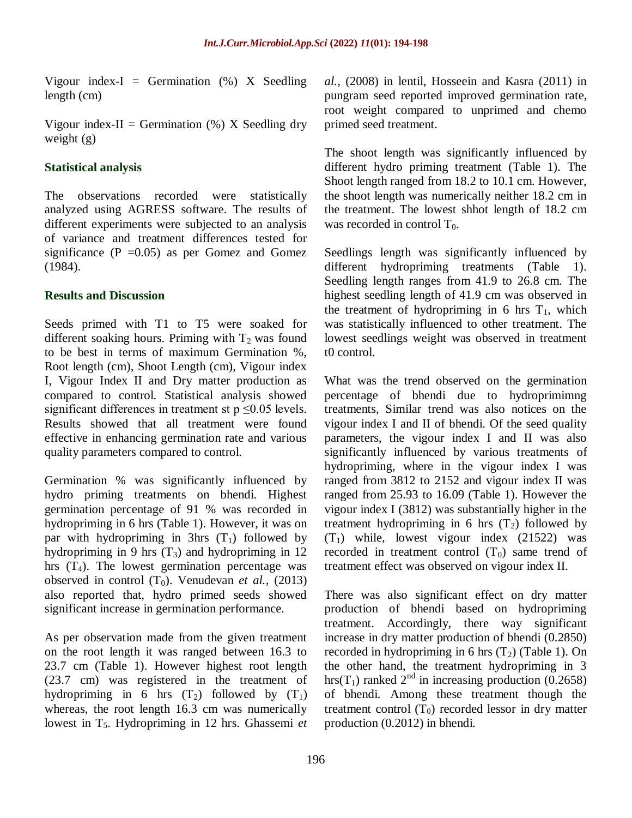Vigour index-I = Germination  $(\%)$  X Seedling length (cm)

Vigour index-II = Germination  $(\%)$  X Seedling dry weight (g)

# **Statistical analysis**

The observations recorded were statistically analyzed using AGRESS software. The results of different experiments were subjected to an analysis of variance and treatment differences tested for significance ( $P = 0.05$ ) as per Gomez and Gomez (1984).

# **Results and Discussion**

Seeds primed with T1 to T5 were soaked for different soaking hours. Priming with  $T_2$  was found to be best in terms of maximum Germination %, Root length (cm), Shoot Length (cm), Vigour index I, Vigour Index II and Dry matter production as compared to control. Statistical analysis showed significant differences in treatment st  $p \le 0.05$  levels. Results showed that all treatment were found effective in enhancing germination rate and various quality parameters compared to control.

Germination % was significantly influenced by hydro priming treatments on bhendi. Highest germination percentage of 91 % was recorded in hydropriming in 6 hrs (Table 1). However, it was on par with hydropriming in 3hrs  $(T_1)$  followed by hydropriming in 9 hrs  $(T_3)$  and hydropriming in 12 hrs  $(T_4)$ . The lowest germination percentage was observed in control  $(T_0)$ . Venudevan *et al.*, (2013) also reported that, hydro primed seeds showed significant increase in germination performance.

As per observation made from the given treatment on the root length it was ranged between 16.3 to 23.7 cm (Table 1). However highest root length (23.7 cm) was registered in the treatment of hydropriming in 6 hrs  $(T_2)$  followed by  $(T_1)$ whereas, the root length 16.3 cm was numerically lowest in T<sub>5</sub>. Hydropriming in 12 hrs. Ghassemi *et*  *al.,* (2008) in lentil, Hosseein and Kasra (2011) in pungram seed reported improved germination rate, root weight compared to unprimed and chemo primed seed treatment.

The shoot length was significantly influenced by different hydro priming treatment (Table 1). The Shoot length ranged from 18.2 to 10.1 cm. However, the shoot length was numerically neither 18.2 cm in the treatment. The lowest shhot length of 18.2 cm was recorded in control  $T_0$ .

Seedlings length was significantly influenced by different hydropriming treatments (Table 1). Seedling length ranges from 41.9 to 26.8 cm. The highest seedling length of 41.9 cm was observed in the treatment of hydropriming in 6 hrs  $T_1$ , which was statistically influenced to other treatment. The lowest seedlings weight was observed in treatment t0 control.

What was the trend observed on the germination percentage of bhendi due to hydroprimimng treatments, Similar trend was also notices on the vigour index I and II of bhendi. Of the seed quality parameters, the vigour index I and II was also significantly influenced by various treatments of hydropriming, where in the vigour index I was ranged from 3812 to 2152 and vigour index II was ranged from 25.93 to 16.09 (Table 1). However the vigour index I (3812) was substantially higher in the treatment hydropriming in 6 hrs  $(T_2)$  followed by  $(T_1)$  while, lowest vigour index  $(21522)$  was recorded in treatment control  $(T_0)$  same trend of treatment effect was observed on vigour index II.

There was also significant effect on dry matter production of bhendi based on hydropriming treatment. Accordingly, there way significant increase in dry matter production of bhendi (0.2850) recorded in hydropriming in 6 hrs  $(T_2)$  (Table 1). On the other hand, the treatment hydropriming in 3 hrs(T<sub>1</sub>) ranked  $2<sup>nd</sup>$  in increasing production (0.2658) of bhendi. Among these treatment though the treatment control  $(T_0)$  recorded lessor in dry matter production (0.2012) in bhendi.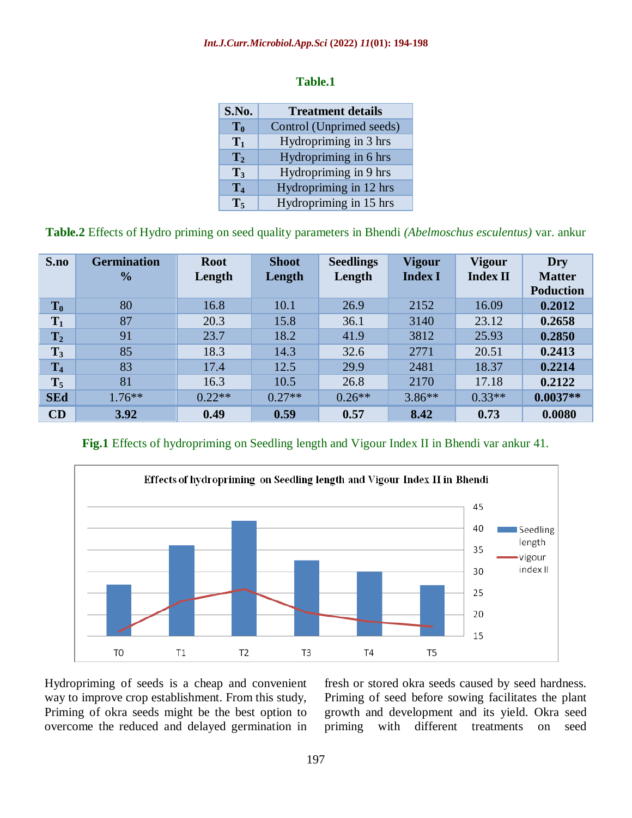#### *Int.J.Curr.Microbiol.App.Sci* **(2022)** *11***(01): 194-198**

#### **Table.1**

| S.No.          | <b>Treatment details</b> |  |  |  |  |
|----------------|--------------------------|--|--|--|--|
| $\mathbf{T_0}$ | Control (Unprimed seeds) |  |  |  |  |
| $\mathbf{T}_1$ | Hydropriming in 3 hrs    |  |  |  |  |
| $\mathbf{T}_2$ | Hydropriming in 6 hrs    |  |  |  |  |
| $\mathbf{T}_3$ | Hydropriming in 9 hrs    |  |  |  |  |
| $\mathbf{T}_4$ | Hydropriming in 12 hrs   |  |  |  |  |
| $\mathbf{T}_5$ | Hydropriming in 15 hrs   |  |  |  |  |

**Table.2** Effects of Hydro priming on seed quality parameters in Bhendi *(Abelmoschus esculentus)* var. ankur

| S.no           | <b>Germination</b> | <b>Root</b> | <b>Shoot</b> | <b>Seedlings</b> | <b>Vigour</b>  | <b>Vigour</b>   | Dry              |
|----------------|--------------------|-------------|--------------|------------------|----------------|-----------------|------------------|
|                | $\frac{0}{0}$      | Length      | Length       | Length           | <b>Index I</b> | <b>Index II</b> | <b>Matter</b>    |
|                |                    |             |              |                  |                |                 | <b>Poduction</b> |
| $T_0$          | 80                 | 16.8        | 10.1         | 26.9             | 2152           | 16.09           | 0.2012           |
| $T_1$          | 87                 | 20.3        | 15.8         | 36.1             | 3140           | 23.12           | 0.2658           |
| $\mathbf{T}_2$ | 91                 | 23.7        | 18.2         | 41.9             | 3812           | 25.93           | 0.2850           |
| $T_3$          | 85                 | 18.3        | 14.3         | 32.6             | 2771           | 20.51           | 0.2413           |
| $T_4$          | 83                 | 17.4        | 12.5         | 29.9             | 2481           | 18.37           | 0.2214           |
| $T_5$          | 81                 | 16.3        | 10.5         | 26.8             | 2170           | 17.18           | 0.2122           |
| <b>SEd</b>     | $1.76***$          | $0.22**$    | $0.27**$     | $0.26**$         | $3.86**$       | $0.33**$        | $0.0037**$       |
| CD             | 3.92               | 0.49        | 0.59         | 0.57             | 8.42           | 0.73            | 0.0080           |

**Fig.1** Effects of hydropriming on Seedling length and Vigour Index II in Bhendi var ankur 41.



Hydropriming of seeds is a cheap and convenient way to improve crop establishment. From this study, Priming of okra seeds might be the best option to overcome the reduced and delayed germination in

fresh or stored okra seeds caused by seed hardness. Priming of seed before sowing facilitates the plant growth and development and its yield. Okra seed priming with different treatments on seed